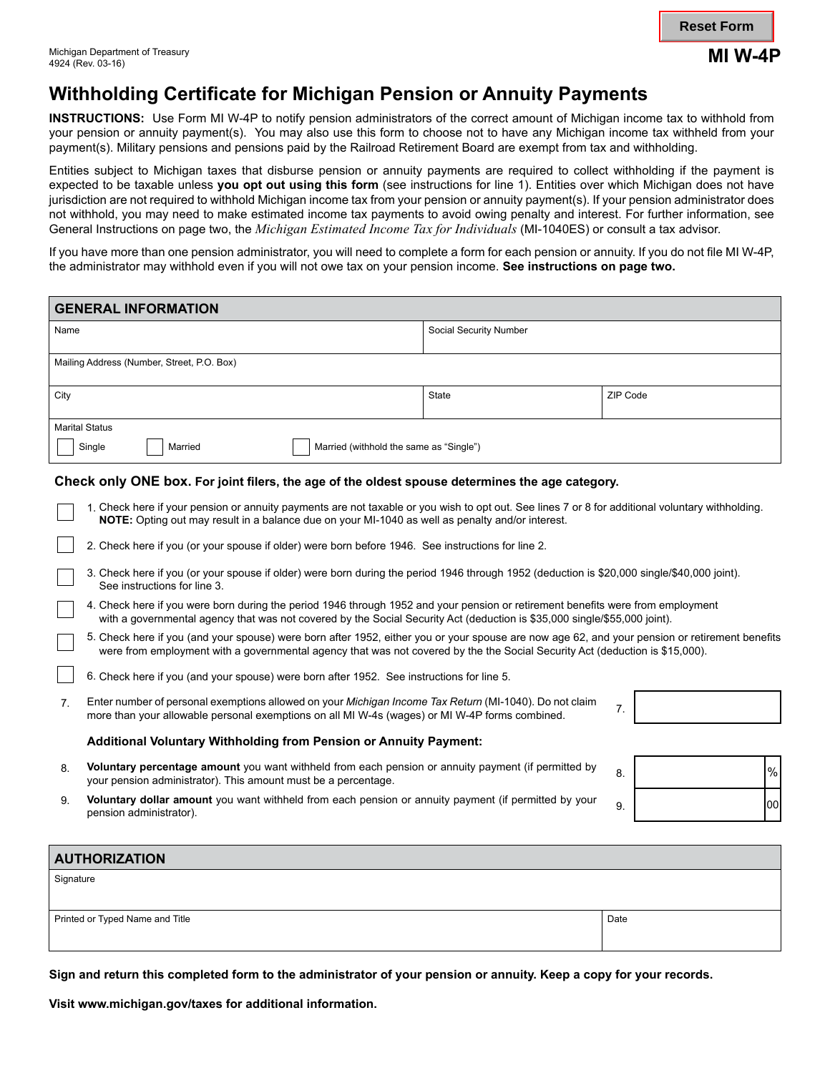### **Reset Form**

# **Withholding Certificate for Michigan Pension or Annuity Payments**

**INSTRUCTIONS:** Use Form MI W-4P to notify pension administrators of the correct amount of Michigan income tax to withhold from your pension or annuity payment(s). You may also use this form to choose not to have any Michigan income tax withheld from your payment(s). Military pensions and pensions paid by the Railroad Retirement Board are exempt from tax and withholding.

Entities subject to Michigan taxes that disburse pension or annuity payments are required to collect withholding if the payment is expected to be taxable unless **you opt out using this form** (see instructions for line 1). Entities over which Michigan does not have jurisdiction are not required to withhold Michigan income tax from your pension or annuity payment(s). If your pension administrator does not withhold, you may need to make estimated income tax payments to avoid owing penalty and interest. For further information, see General Instructions on page two, the *Michigan Estimated Income Tax for Individuals* (MI-1040ES) or consult a tax advisor.

If you have more than one pension administrator, you will need to complete a form for each pension or annuity. If you do not file MI W-4P, the administrator may withhold even if you will not owe tax on your pension income. **See instructions on page two.**

| <b>GENERAL INFORMATION</b>                                                                                                                                                                                                                                                                                                                              |                        |            |
|---------------------------------------------------------------------------------------------------------------------------------------------------------------------------------------------------------------------------------------------------------------------------------------------------------------------------------------------------------|------------------------|------------|
| Name                                                                                                                                                                                                                                                                                                                                                    | Social Security Number |            |
| Mailing Address (Number, Street, P.O. Box)                                                                                                                                                                                                                                                                                                              |                        |            |
| City                                                                                                                                                                                                                                                                                                                                                    | <b>State</b>           | ZIP Code   |
| <b>Marital Status</b>                                                                                                                                                                                                                                                                                                                                   |                        |            |
| Single<br>Married (withhold the same as "Single")<br>Married                                                                                                                                                                                                                                                                                            |                        |            |
| Check only ONE box. For joint filers, the age of the oldest spouse determines the age category.<br>1. Check here if your pension or annuity payments are not taxable or you wish to opt out. See lines 7 or 8 for additional voluntary withholding.<br>NOTE: Opting out may result in a balance due on your MI-1040 as well as penalty and/or interest. |                        |            |
| 2. Check here if you (or your spouse if older) were born before 1946. See instructions for line 2.                                                                                                                                                                                                                                                      |                        |            |
| 3. Check here if you (or your spouse if older) were born during the period 1946 through 1952 (deduction is \$20,000 single/\$40,000 joint).<br>See instructions for line 3.                                                                                                                                                                             |                        |            |
| 4. Check here if you were born during the period 1946 through 1952 and your pension or retirement benefits were from employment<br>with a governmental agency that was not covered by the Social Security Act (deduction is \$35,000 single/\$55,000 joint).                                                                                            |                        |            |
| 5. Check here if you (and your spouse) were born after 1952, either you or your spouse are now age 62, and your pension or retirement benefits<br>were from employment with a governmental agency that was not covered by the the Social Security Act (deduction is \$15,000).                                                                          |                        |            |
| 6. Check here if you (and your spouse) were born after 1952. See instructions for line 5.                                                                                                                                                                                                                                                               |                        |            |
| Enter number of personal exemptions allowed on your Michigan Income Tax Return (MI-1040). Do not claim<br>7.<br>7.<br>more than your allowable personal exemptions on all MI W-4s (wages) or MI W-4P forms combined.                                                                                                                                    |                        |            |
| Additional Voluntary Withholding from Pension or Annuity Payment:                                                                                                                                                                                                                                                                                       |                        |            |
| Voluntary percentage amount you want withheld from each pension or annuity payment (if permitted by<br>8.<br>your pension administrator). This amount must be a percentage.                                                                                                                                                                             |                        | $\%$<br>8. |
| Voluntary dollar amount you want withheld from each pension or annuity payment (if permitted by your<br>9.<br>pension administrator).                                                                                                                                                                                                                   |                        | loo<br>9.  |
| <b>AUTHORIZATION</b>                                                                                                                                                                                                                                                                                                                                    |                        |            |
| Signature                                                                                                                                                                                                                                                                                                                                               |                        |            |

Printed or Typed Name and Title **Date** Date of The Date of The Date of The Date of The Date of Date of Date of Date of Date of Date of Date of Date of Date of Date of Date of Date of Date of Date of Date of Date of Date of

**Sign and return this completed form to the administrator of your pension or annuity. Keep a copy for your records.**

**Visit www.michigan.gov/taxes for additional information.**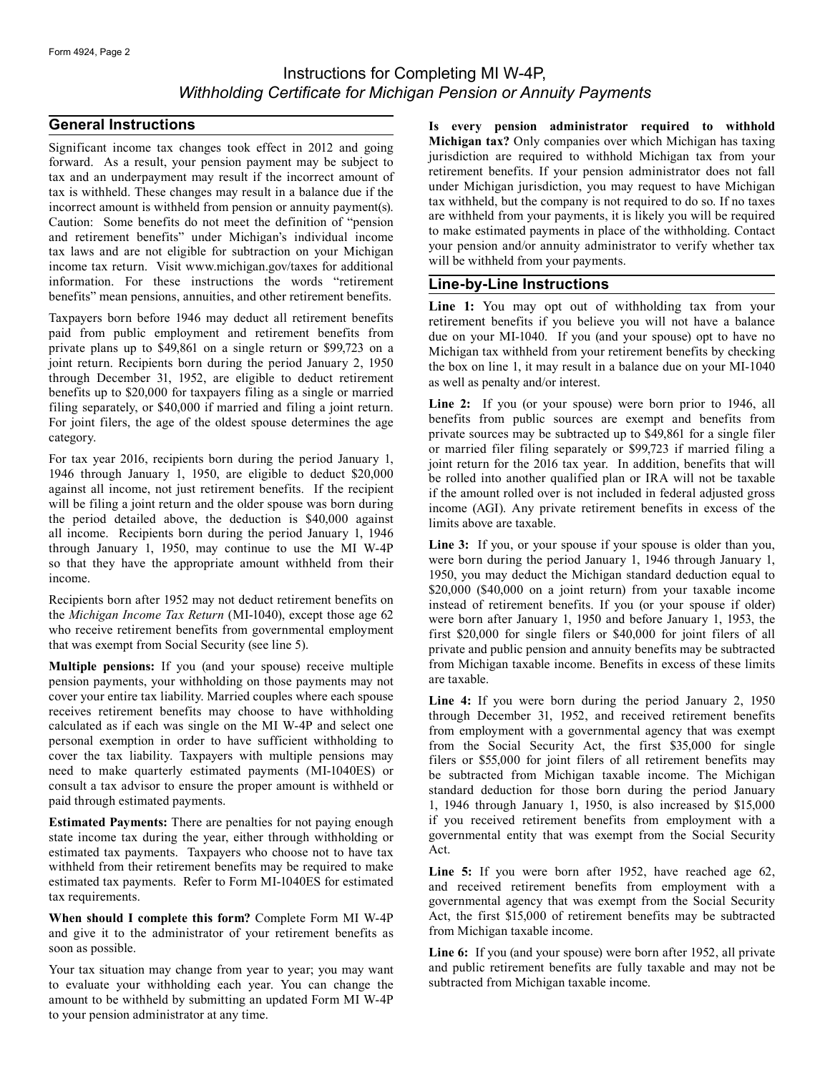## Instructions for Completing MI W-4P, *Withholding Certificate for Michigan Pension or Annuity Payments*

#### **General Instructions**

Significant income tax changes took effect in 2012 and going forward. As a result, your pension payment may be subject to tax and an underpayment may result if the incorrect amount of tax is withheld. These changes may result in a balance due if the incorrect amount is withheld from pension or annuity payment(s). Caution: Some benefits do not meet the definition of "pension and retirement benefits" under Michigan's individual income tax laws and are not eligible for subtraction on your Michigan income tax return. Visit www.michigan.gov/taxes for additional information. For these instructions the words "retirement benefits" mean pensions, annuities, and other retirement benefits.

Taxpayers born before 1946 may deduct all retirement benefits paid from public employment and retirement benefits from private plans up to \$49,861 on a single return or \$99,723 on a joint return. Recipients born during the period January 2, 1950 through December 31, 1952, are eligible to deduct retirement benefits up to \$20,000 for taxpayers filing as a single or married filing separately, or \$40,000 if married and filing a joint return. For joint filers, the age of the oldest spouse determines the age category.

For tax year 2016, recipients born during the period January 1, 1946 through January 1, 1950, are eligible to deduct \$20,000 against all income, not just retirement benefits. If the recipient will be filing a joint return and the older spouse was born during the period detailed above, the deduction is \$40,000 against all income. Recipients born during the period January 1, 1946 through January 1, 1950, may continue to use the MI W-4P so that they have the appropriate amount withheld from their income.

Recipients born after 1952 may not deduct retirement benefits on the *Michigan Income Tax Return* (MI-1040), except those age 62 who receive retirement benefits from governmental employment that was exempt from Social Security (see line 5).

**Multiple pensions:** If you (and your spouse) receive multiple pension payments, your withholding on those payments may not cover your entire tax liability. Married couples where each spouse receives retirement benefits may choose to have withholding calculated as if each was single on the MI W-4P and select one personal exemption in order to have sufficient withholding to cover the tax liability. Taxpayers with multiple pensions may need to make quarterly estimated payments (MI-1040ES) or consult a tax advisor to ensure the proper amount is withheld or paid through estimated payments.

**Estimated Payments:** There are penalties for not paying enough state income tax during the year, either through withholding or estimated tax payments. Taxpayers who choose not to have tax withheld from their retirement benefits may be required to make estimated tax payments. Refer to Form MI-1040ES for estimated tax requirements.

**When should I complete this form?** Complete Form MI W-4P and give it to the administrator of your retirement benefits as soon as possible.

Your tax situation may change from year to year; you may want to evaluate your withholding each year. You can change the amount to be withheld by submitting an updated Form MI W-4P to your pension administrator at any time.

**Is every pension administrator required to withhold Michigan tax?** Only companies over which Michigan has taxing jurisdiction are required to withhold Michigan tax from your retirement benefits. If your pension administrator does not fall under Michigan jurisdiction, you may request to have Michigan tax withheld, but the company is not required to do so. If no taxes are withheld from your payments, it is likely you will be required to make estimated payments in place of the withholding. Contact your pension and/or annuity administrator to verify whether tax will be withheld from your payments.

### **Line-by-Line Instructions**

Line 1: You may opt out of withholding tax from your retirement benefits if you believe you will not have a balance due on your MI-1040. If you (and your spouse) opt to have no Michigan tax withheld from your retirement benefits by checking the box on line 1, it may result in a balance due on your MI-1040 as well as penalty and/or interest.

Line 2: If you (or your spouse) were born prior to 1946, all benefits from public sources are exempt and benefits from private sources may be subtracted up to \$49,861 for a single filer or married filer filing separately or \$99,723 if married filing a joint return for the 2016 tax year. In addition, benefits that will be rolled into another qualified plan or IRA will not be taxable if the amount rolled over is not included in federal adjusted gross income (AGI). Any private retirement benefits in excess of the limits above are taxable.

Line 3: If you, or your spouse if your spouse is older than you, were born during the period January 1, 1946 through January 1, 1950, you may deduct the Michigan standard deduction equal to \$20,000 (\$40,000 on a joint return) from your taxable income instead of retirement benefits. If you (or your spouse if older) were born after January 1, 1950 and before January 1, 1953, the first \$20,000 for single filers or \$40,000 for joint filers of all private and public pension and annuity benefits may be subtracted from Michigan taxable income. Benefits in excess of these limits are taxable.

**Line 4:** If you were born during the period January 2, 1950 through December 31, 1952, and received retirement benefits from employment with a governmental agency that was exempt from the Social Security Act, the first \$35,000 for single filers or \$55,000 for joint filers of all retirement benefits may be subtracted from Michigan taxable income. The Michigan standard deduction for those born during the period January 1, 1946 through January 1, 1950, is also increased by \$15,000 if you received retirement benefits from employment with a governmental entity that was exempt from the Social Security Act.

Line 5: If you were born after 1952, have reached age 62, and received retirement benefits from employment with a governmental agency that was exempt from the Social Security Act, the first \$15,000 of retirement benefits may be subtracted from Michigan taxable income.

**Line 6:** If you (and your spouse) were born after 1952, all private and public retirement benefits are fully taxable and may not be subtracted from Michigan taxable income.